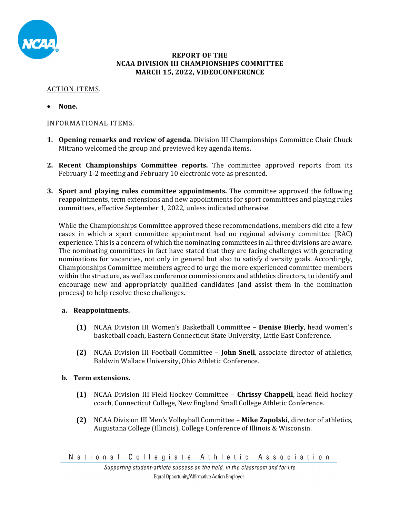

#### **REPORT OF THE NCAA DIVISION III CHAMPIONSHIPS COMMITTEE MARCH 15, 2022, VIDEOCONFERENCE**

# ACTION ITEMS.

**None.**

## INFORMATIONAL ITEMS.

- **1. Opening remarks and review of agenda.** Division III Championships Committee Chair Chuck Mitrano welcomed the group and previewed key agenda items.
- **2. Recent Championships Committee reports.** The committee approved reports from its February 1-2 meeting and February 10 electronic vote as presented.
- **3. Sport and playing rules committee appointments.** The committee approved the following reappointments, term extensions and new appointments for sport committees and playing rules committees, effective September 1, 2022, unless indicated otherwise.

While the Championships Committee approved these recommendations, members did cite a few cases in which a sport committee appointment had no regional advisory committee (RAC) experience. This is a concern of which the nominating committees in all three divisions are aware. The nominating committees in fact have stated that they are facing challenges with generating nominations for vacancies, not only in general but also to satisfy diversity goals. Accordingly, Championships Committee members agreed to urge the more experienced committee members within the structure, as well as conference commissioners and athletics directors, to identify and encourage new and appropriately qualified candidates (and assist them in the nomination process) to help resolve these challenges.

## **a. Reappointments.**

- **(1)** NCAA Division III Women's Basketball Committee **Denise Bierly**, head women's basketball coach, Eastern Connecticut State University, Little East Conference.
- **(2)** NCAA Division III Football Committee **John Snell**, associate director of athletics, Baldwin Wallace University, Ohio Athletic Conference.

## **b. Term extensions.**

- **(1)** NCAA Division III Field Hockey Committee **Chrissy Chappell**, head field hockey coach, Connecticut College, New England Small College Athletic Conference.
- **(2)** NCAA Division III Men's Volleyball Committee **Mike Zapolski**, director of athletics, Augustana College (Illinois), College Conference of Illinois & Wisconsin.

National Collegiate Athletic Association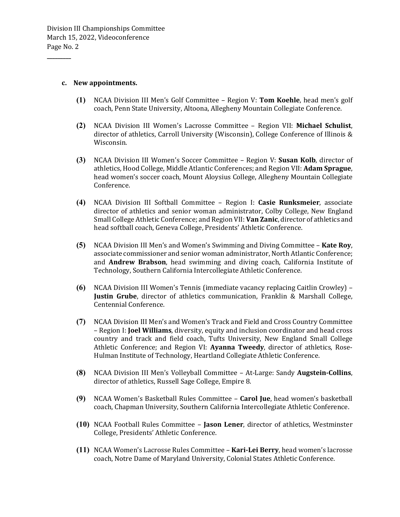#### **c. New appointments.**

**\_\_\_\_\_\_\_\_\_**

- **(1)** NCAA Division III Men's Golf Committee Region V: **Tom Koehle**, head men's golf coach, Penn State University, Altoona, Allegheny Mountain Collegiate Conference.
- **(2)** NCAA Division III Women's Lacrosse Committee Region VII: **Michael Schulist**, director of athletics, Carroll University (Wisconsin), College Conference of Illinois & Wisconsin.
- **(3)** NCAA Division III Women's Soccer Committee Region V: **Susan Kolb**, director of athletics, Hood College, Middle Atlantic Conferences; and Region VII: **Adam Sprague**, head women's soccer coach, Mount Aloysius College, Allegheny Mountain Collegiate Conference.
- **(4)** NCAA Division III Softball Committee Region I: **Casie Runksmeier**, associate director of athletics and senior woman administrator, Colby College, New England Small College Athletic Conference; and Region VII: **Van Zanic**, director of athletics and head softball coach, Geneva College, Presidents' Athletic Conference.
- **(5)** NCAA Division III Men's and Women's Swimming and Diving Committee **Kate Roy**, associate commissioner and senior woman administrator, North Atlantic Conference; and **Andrew Brabson**, head swimming and diving coach, California Institute of Technology, Southern California Intercollegiate Athletic Conference.
- **(6)** NCAA Division III Women's Tennis (immediate vacancy replacing Caitlin Crowley) **Justin Grube**, director of athletics communication, Franklin & Marshall College, Centennial Conference.
- **(7)** NCAA Division III Men's and Women's Track and Field and Cross Country Committee – Region I: **Joel Williams**, diversity, equity and inclusion coordinator and head cross country and track and field coach, Tufts University, New England Small College Athletic Conference; and Region VI: **Ayanna Tweedy**, director of athletics, Rose-Hulman Institute of Technology, Heartland Collegiate Athletic Conference.
- **(8)** NCAA Division III Men's Volleyball Committee At-Large: Sandy **Augstein‐Collins**, director of athletics, Russell Sage College, Empire 8.
- **(9)** NCAA Women's Basketball Rules Committee **Carol Jue**, head women's basketball coach, Chapman University, Southern California Intercollegiate Athletic Conference.
- **(10)** NCAA Football Rules Committee **Jason Lener**, director of athletics, Westminster College, Presidents' Athletic Conference.
- **(11)** NCAA Women's Lacrosse Rules Committee **Kari‐Lei Berry**, head women's lacrosse coach, Notre Dame of Maryland University, Colonial States Athletic Conference.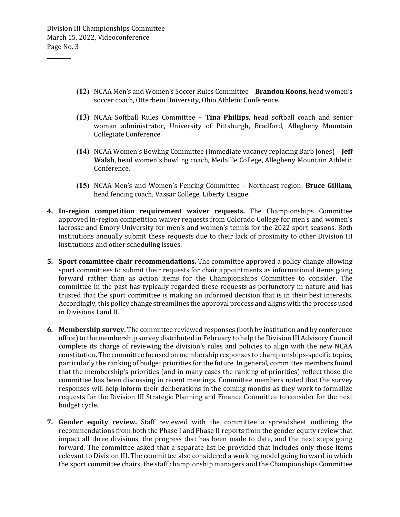**\_\_\_\_\_\_\_\_\_**

- **(12)** NCAA Men's and Women's Soccer Rules Committee **Brandon Koons**, head women's soccer coach, Otterbein University, Ohio Athletic Conference.
- **(13)** NCAA Softball Rules Committee **Tina Phillips,** head softball coach and senior woman administrator, University of Pittsburgh, Bradford, Allegheny Mountain Collegiate Conference.
- **(14)** NCAA Women's Bowling Committee (immediate vacancy replacing Barb Jones) **Jeff Walsh**, head women's bowling coach, Medaille College, Allegheny Mountain Athletic Conference.
- **(15)** NCAA Men's and Women's Fencing Committee Northeast region: **Bruce Gilliam**, head fencing coach, Vassar College, Liberty League.
- **4. In**-**region competition requirement waiver requests.** The Championships Committee approved in-region competition waiver requests from Colorado College for men's and women's lacrosse and Emory University for men's and women's tennis for the 2022 sport seasons. Both institutions annually submit these requests due to their lack of proximity to other Division III institutions and other scheduling issues.
- **5. Sport committee chair recommendations.** The committee approved a policy change allowing sport committees to submit their requests for chair appointments as informational items going forward rather than as action items for the Championships Committee to consider. The committee in the past has typically regarded these requests as perfunctory in nature and has trusted that the sport committee is making an informed decision that is in their best interests. Accordingly, this policy change streamlines the approval process and aligns with the process used in Divisions I and II.
- **6. Membership survey.** The committee reviewed responses (both by institution and by conference office) to the membership survey distributed in February to help the Division III Advisory Council complete its charge of reviewing the division's rules and policies to align with the new NCAA constitution. The committee focused on membership responses to championships-specific topics, particularly the ranking of budget priorities for the future. In general, committee members found that the membership's priorities (and in many cases the ranking of priorities) reflect those the committee has been discussing in recent meetings. Committee members noted that the survey responses will help inform their deliberations in the coming months as they work to formalize requests for the Division III Strategic Planning and Finance Committee to consider for the next budget cycle.
- **7. Gender equity review.** Staff reviewed with the committee a spreadsheet outlining the recommendations from both the Phase I and Phase II reports from the gender equity review that impact all three divisions, the progress that has been made to date, and the next steps going forward. The committee asked that a separate list be provided that includes only those items relevant to Division III. The committee also considered a working model going forward in which the sport committee chairs, the staff championship managers and the Championships Committee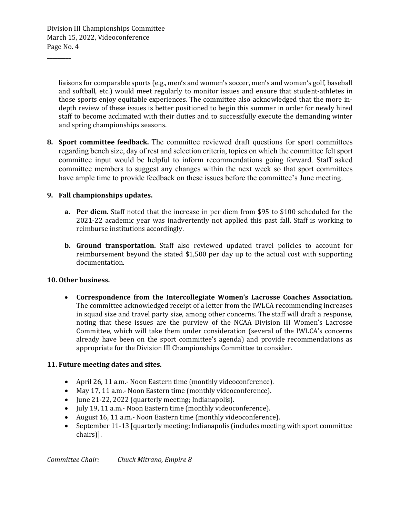Division III Championships Committee March 15, 2022, Videoconference Page No. 4

**\_\_\_\_\_\_\_\_\_**

liaisons for comparable sports (e.g., men's and women's soccer, men's and women's golf, baseball and softball, etc.) would meet regularly to monitor issues and ensure that student-athletes in those sports enjoy equitable experiences. The committee also acknowledged that the more indepth review of these issues is better positioned to begin this summer in order for newly hired staff to become acclimated with their duties and to successfully execute the demanding winter and spring championships seasons.

**8. Sport committee feedback.** The committee reviewed draft questions for sport committees regarding bench size, day of rest and selection criteria, topics on which the committee felt sport committee input would be helpful to inform recommendations going forward. Staff asked committee members to suggest any changes within the next week so that sport committees have ample time to provide feedback on these issues before the committee's June meeting.

## **9. Fall championships updates.**

- **a. Per diem.** Staff noted that the increase in per diem from \$95 to \$100 scheduled for the 2021-22 academic year was inadvertently not applied this past fall. Staff is working to reimburse institutions accordingly.
- **b. Ground transportation.** Staff also reviewed updated travel policies to account for reimbursement beyond the stated \$1,500 per day up to the actual cost with supporting documentation.

## **10. Other business.**

 **Correspondence from the Intercollegiate Women's Lacrosse Coaches Association.** The committee acknowledged receipt of a letter from the IWLCA recommending increases in squad size and travel party size, among other concerns. The staff will draft a response, noting that these issues are the purview of the NCAA Division III Women's Lacrosse Committee, which will take them under consideration (several of the IWLCA's concerns already have been on the sport committee's agenda) and provide recommendations as appropriate for the Division III Championships Committee to consider.

## **11. Future meeting dates and sites.**

- April 26, 11 a.m.- Noon Eastern time (monthly videoconference).
- May 17, 11 a.m.- Noon Eastern time (monthly videoconference).
- June 21-22, 2022 (quarterly meeting; Indianapolis).
- July 19, 11 a.m.- Noon Eastern time (monthly videoconference).
- August 16, 11 a.m.- Noon Eastern time (monthly videoconference).
- September 11-13 [quarterly meeting; Indianapolis (includes meeting with sport committee chairs)].

*Committee Chair: Chuck Mitrano, Empire 8*